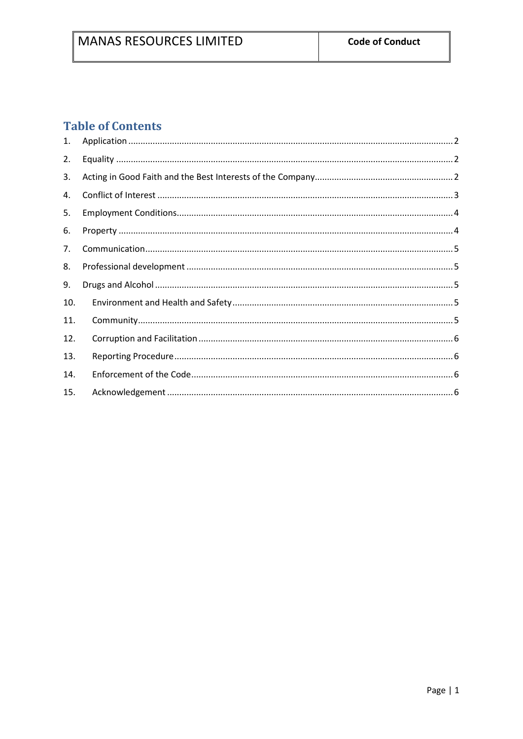# **Table of Contents**

| 1.  |  |
|-----|--|
| 2.  |  |
| 3.  |  |
| 4.  |  |
| 5.  |  |
| 6.  |  |
| 7.  |  |
| 8.  |  |
| 9.  |  |
| 10. |  |
| 11. |  |
| 12. |  |
| 13. |  |
| 14. |  |
| 15. |  |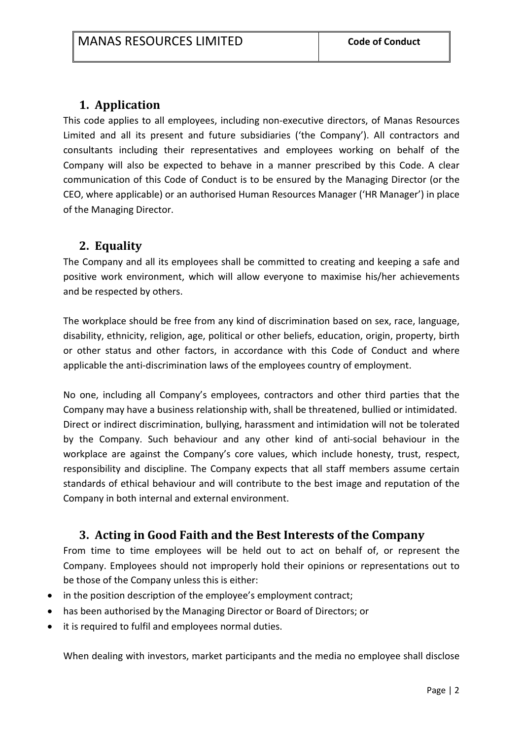### **1. Application**

This code applies to all employees, including non-executive directors, of Manas Resources Limited and all its present and future subsidiaries ('the Company'). All contractors and consultants including their representatives and employees working on behalf of the Company will also be expected to behave in a manner prescribed by this Code. A clear communication of this Code of Conduct is to be ensured by the Managing Director (or the CEO, where applicable) or an authorised Human Resources Manager ('HR Manager') in place of the Managing Director.

#### **2. Equality**

The Company and all its employees shall be committed to creating and keeping a safe and positive work environment, which will allow everyone to maximise his/her achievements and be respected by others.

The workplace should be free from any kind of discrimination based on sex, race, language, disability, ethnicity, religion, age, political or other beliefs, education, origin, property, birth or other status and other factors, in accordance with this Code of Conduct and where applicable the anti-discrimination laws of the employees country of employment.

No one, including all Company's employees, contractors and other third parties that the Company may have a business relationship with, shall be threatened, bullied or intimidated. Direct or indirect discrimination, bullying, harassment and intimidation will not be tolerated by the Company. Such behaviour and any other kind of anti-social behaviour in the workplace are against the Company's core values, which include honesty, trust, respect, responsibility and discipline. The Company expects that all staff members assume certain standards of ethical behaviour and will contribute to the best image and reputation of the Company in both internal and external environment.

### **3. Acting in Good Faith and the Best Interests of the Company**

From time to time employees will be held out to act on behalf of, or represent the Company. Employees should not improperly hold their opinions or representations out to be those of the Company unless this is either:

- in the position description of the employee's employment contract;
- has been authorised by the Managing Director or Board of Directors; or
- it is required to fulfil and employees normal duties.

When dealing with investors, market participants and the media no employee shall disclose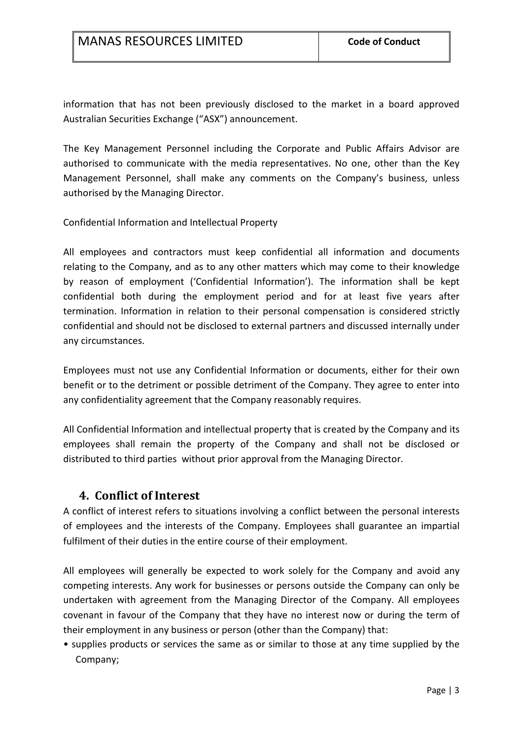information that has not been previously disclosed to the market in a board approved Australian Securities Exchange ("ASX") announcement.

The Key Management Personnel including the Corporate and Public Affairs Advisor are authorised to communicate with the media representatives. No one, other than the Key Management Personnel, shall make any comments on the Company's business, unless authorised by the Managing Director.

Confidential Information and Intellectual Property

All employees and contractors must keep confidential all information and documents relating to the Company, and as to any other matters which may come to their knowledge by reason of employment ('Confidential Information'). The information shall be kept confidential both during the employment period and for at least five years after termination. Information in relation to their personal compensation is considered strictly confidential and should not be disclosed to external partners and discussed internally under any circumstances.

Employees must not use any Confidential Information or documents, either for their own benefit or to the detriment or possible detriment of the Company. They agree to enter into any confidentiality agreement that the Company reasonably requires.

All Confidential Information and intellectual property that is created by the Company and its employees shall remain the property of the Company and shall not be disclosed or distributed to third parties without prior approval from the Managing Director.

#### **4. Conflict of Interest**

A conflict of interest refers to situations involving a conflict between the personal interests of employees and the interests of the Company. Employees shall guarantee an impartial fulfilment of their duties in the entire course of their employment.

All employees will generally be expected to work solely for the Company and avoid any competing interests. Any work for businesses or persons outside the Company can only be undertaken with agreement from the Managing Director of the Company. All employees covenant in favour of the Company that they have no interest now or during the term of their employment in any business or person (other than the Company) that:

• supplies products or services the same as or similar to those at any time supplied by the Company;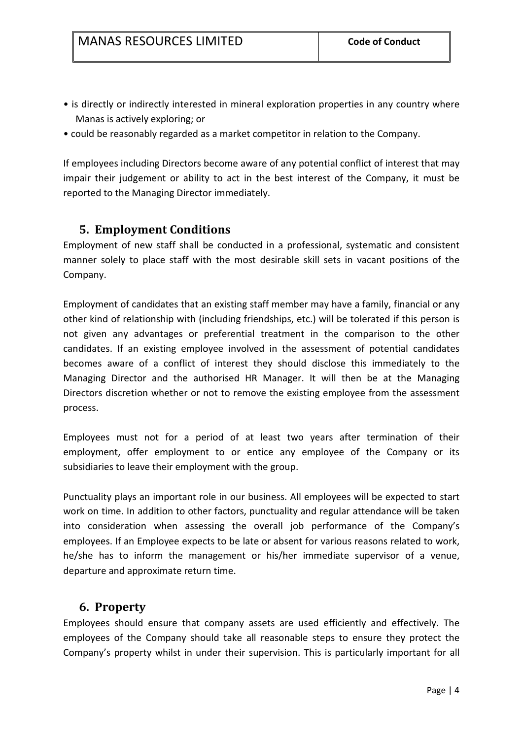- is directly or indirectly interested in mineral exploration properties in any country where Manas is actively exploring; or
- could be reasonably regarded as a market competitor in relation to the Company.

If employees including Directors become aware of any potential conflict of interest that may impair their judgement or ability to act in the best interest of the Company, it must be reported to the Managing Director immediately.

#### **5. Employment Conditions**

Employment of new staff shall be conducted in a professional, systematic and consistent manner solely to place staff with the most desirable skill sets in vacant positions of the Company.

Employment of candidates that an existing staff member may have a family, financial or any other kind of relationship with (including friendships, etc.) will be tolerated if this person is not given any advantages or preferential treatment in the comparison to the other candidates. If an existing employee involved in the assessment of potential candidates becomes aware of a conflict of interest they should disclose this immediately to the Managing Director and the authorised HR Manager. It will then be at the Managing Directors discretion whether or not to remove the existing employee from the assessment process.

Employees must not for a period of at least two years after termination of their employment, offer employment to or entice any employee of the Company or its subsidiaries to leave their employment with the group.

Punctuality plays an important role in our business. All employees will be expected to start work on time. In addition to other factors, punctuality and regular attendance will be taken into consideration when assessing the overall job performance of the Company's employees. If an Employee expects to be late or absent for various reasons related to work, he/she has to inform the management or his/her immediate supervisor of a venue, departure and approximate return time.

#### **6. Property**

Employees should ensure that company assets are used efficiently and effectively. The employees of the Company should take all reasonable steps to ensure they protect the Company's property whilst in under their supervision. This is particularly important for all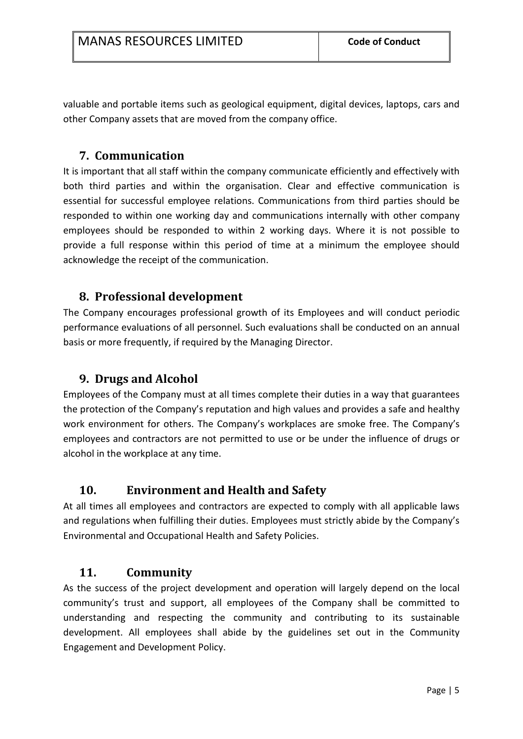valuable and portable items such as geological equipment, digital devices, laptops, cars and other Company assets that are moved from the company office.

#### **7. Communication**

It is important that all staff within the company communicate efficiently and effectively with both third parties and within the organisation. Clear and effective communication is essential for successful employee relations. Communications from third parties should be responded to within one working day and communications internally with other company employees should be responded to within 2 working days. Where it is not possible to provide a full response within this period of time at a minimum the employee should acknowledge the receipt of the communication.

### **8. Professional development**

The Company encourages professional growth of its Employees and will conduct periodic performance evaluations of all personnel. Such evaluations shall be conducted on an annual basis or more frequently, if required by the Managing Director.

#### **9. Drugs and Alcohol**

Employees of the Company must at all times complete their duties in a way that guarantees the protection of the Company's reputation and high values and provides a safe and healthy work environment for others. The Company's workplaces are smoke free. The Company's employees and contractors are not permitted to use or be under the influence of drugs or alcohol in the workplace at any time.

### **10. Environment and Health and Safety**

At all times all employees and contractors are expected to comply with all applicable laws and regulations when fulfilling their duties. Employees must strictly abide by the Company's Environmental and Occupational Health and Safety Policies.

#### **11. Community**

As the success of the project development and operation will largely depend on the local community's trust and support, all employees of the Company shall be committed to understanding and respecting the community and contributing to its sustainable development. All employees shall abide by the guidelines set out in the Community Engagement and Development Policy.